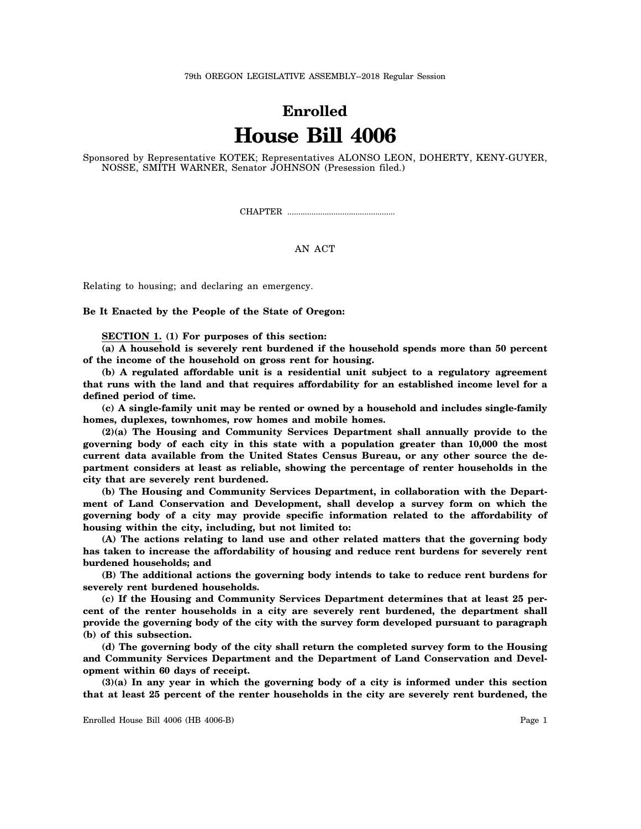## **Enrolled House Bill 4006**

Sponsored by Representative KOTEK; Representatives ALONSO LEON, DOHERTY, KENY-GUYER, NOSSE, SMITH WARNER, Senator JOHNSON (Presession filed.)

CHAPTER .................................................

AN ACT

Relating to housing; and declaring an emergency.

**Be It Enacted by the People of the State of Oregon:**

**SECTION 1. (1) For purposes of this section:**

**(a) A household is severely rent burdened if the household spends more than 50 percent of the income of the household on gross rent for housing.**

**(b) A regulated affordable unit is a residential unit subject to a regulatory agreement that runs with the land and that requires affordability for an established income level for a defined period of time.**

**(c) A single-family unit may be rented or owned by a household and includes single-family homes, duplexes, townhomes, row homes and mobile homes.**

**(2)(a) The Housing and Community Services Department shall annually provide to the governing body of each city in this state with a population greater than 10,000 the most current data available from the United States Census Bureau, or any other source the department considers at least as reliable, showing the percentage of renter households in the city that are severely rent burdened.**

**(b) The Housing and Community Services Department, in collaboration with the Department of Land Conservation and Development, shall develop a survey form on which the governing body of a city may provide specific information related to the affordability of housing within the city, including, but not limited to:**

**(A) The actions relating to land use and other related matters that the governing body has taken to increase the affordability of housing and reduce rent burdens for severely rent burdened households; and**

**(B) The additional actions the governing body intends to take to reduce rent burdens for severely rent burdened households.**

**(c) If the Housing and Community Services Department determines that at least 25 percent of the renter households in a city are severely rent burdened, the department shall provide the governing body of the city with the survey form developed pursuant to paragraph (b) of this subsection.**

**(d) The governing body of the city shall return the completed survey form to the Housing and Community Services Department and the Department of Land Conservation and Development within 60 days of receipt.**

**(3)(a) In any year in which the governing body of a city is informed under this section that at least 25 percent of the renter households in the city are severely rent burdened, the**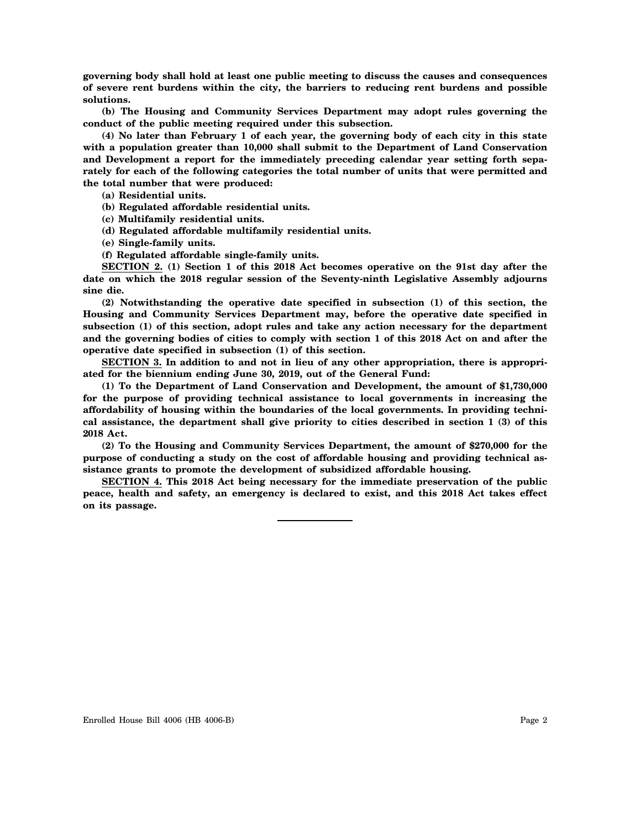**governing body shall hold at least one public meeting to discuss the causes and consequences of severe rent burdens within the city, the barriers to reducing rent burdens and possible solutions.**

**(b) The Housing and Community Services Department may adopt rules governing the conduct of the public meeting required under this subsection.**

**(4) No later than February 1 of each year, the governing body of each city in this state with a population greater than 10,000 shall submit to the Department of Land Conservation and Development a report for the immediately preceding calendar year setting forth separately for each of the following categories the total number of units that were permitted and the total number that were produced:**

**(a) Residential units.**

**(b) Regulated affordable residential units.**

**(c) Multifamily residential units.**

**(d) Regulated affordable multifamily residential units.**

**(e) Single-family units.**

**(f) Regulated affordable single-family units.**

**SECTION 2. (1) Section 1 of this 2018 Act becomes operative on the 91st day after the date on which the 2018 regular session of the Seventy-ninth Legislative Assembly adjourns sine die.**

**(2) Notwithstanding the operative date specified in subsection (1) of this section, the Housing and Community Services Department may, before the operative date specified in subsection (1) of this section, adopt rules and take any action necessary for the department and the governing bodies of cities to comply with section 1 of this 2018 Act on and after the operative date specified in subsection (1) of this section.**

**SECTION 3. In addition to and not in lieu of any other appropriation, there is appropriated for the biennium ending June 30, 2019, out of the General Fund:**

**(1) To the Department of Land Conservation and Development, the amount of \$1,730,000 for the purpose of providing technical assistance to local governments in increasing the affordability of housing within the boundaries of the local governments. In providing technical assistance, the department shall give priority to cities described in section 1 (3) of this 2018 Act.**

**(2) To the Housing and Community Services Department, the amount of \$270,000 for the purpose of conducting a study on the cost of affordable housing and providing technical assistance grants to promote the development of subsidized affordable housing.**

**SECTION 4. This 2018 Act being necessary for the immediate preservation of the public peace, health and safety, an emergency is declared to exist, and this 2018 Act takes effect on its passage.**

Enrolled House Bill 4006 (HB 4006-B) Page 2